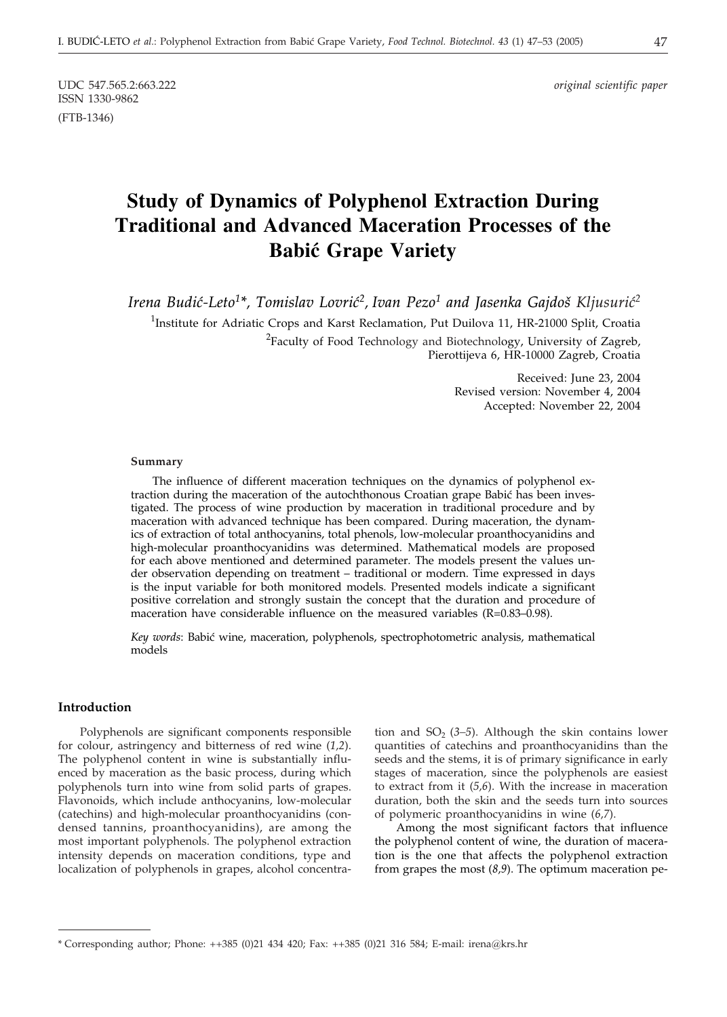ISSN 1330-9862 (FTB-1346)

UDC 547.565.2:663.222 *original scientific paper*

# **Study of Dynamics of Polyphenol Extraction During Traditional and Advanced Maceration Processes of the Babi} Grape Variety**

*Irena Budić-Leto<sup>1\*</sup>, Tomislav Lovrić<sup>2</sup>, Ivan Pezo<sup>1</sup> and Jasenka Gajdoš Kljusurić<sup>2</sup>* 

<sup>1</sup>Institute for Adriatic Crops and Karst Reclamation, Put Duilova 11, HR-21000 Split, Croatia  $^{2}$ Faculty of Food Technology and Biotechnology, University of Zagreb, Pierottijeva 6, HR-10000 Zagreb, Croatia

> Received: June 23, 2004 Revised version: November 4, 2004 Accepted: November 22, 2004

#### **Summary**

The influence of different maceration techniques on the dynamics of polyphenol extraction during the maceration of the autochthonous Croatian grape Babić has been investigated. The process of wine production by maceration in traditional procedure and by maceration with advanced technique has been compared. During maceration, the dynamics of extraction of total anthocyanins, total phenols, low-molecular proanthocyanidins and high-molecular proanthocyanidins was determined. Mathematical models are proposed for each above mentioned and determined parameter. The models present the values under observation depending on treatment – traditional or modern. Time expressed in days is the input variable for both monitored models. Presented models indicate a significant positive correlation and strongly sustain the concept that the duration and procedure of maceration have considerable influence on the measured variables (R=0.83–0.98).

Key words: Babić wine, maceration, polyphenols, spectrophotometric analysis, mathematical models

## **Introduction**

Polyphenols are significant components responsible for colour, astringency and bitterness of red wine (*1,2*). The polyphenol content in wine is substantially influenced by maceration as the basic process, during which polyphenols turn into wine from solid parts of grapes. Flavonoids, which include anthocyanins, low-molecular (catechins) and high-molecular proanthocyanidins (condensed tannins, proanthocyanidins), are among the most important polyphenols. The polyphenol extraction intensity depends on maceration conditions, type and localization of polyphenols in grapes, alcohol concentra-

tion and  $SO<sub>2</sub>$  (3–5). Although the skin contains lower quantities of catechins and proanthocyanidins than the seeds and the stems, it is of primary significance in early stages of maceration, since the polyphenols are easiest to extract from it (*5,6*). With the increase in maceration duration, both the skin and the seeds turn into sources of polymeric proanthocyanidins in wine (*6,7*).

Among the most significant factors that influence the polyphenol content of wine, the duration of maceration is the one that affects the polyphenol extraction from grapes the most (*8,9*). The optimum maceration pe-

<sup>\*</sup> Corresponding author; Phone: ++385 (0)21 434 420; Fax: ++385 (0)21 316 584; E-mail: irena*@*krs.hr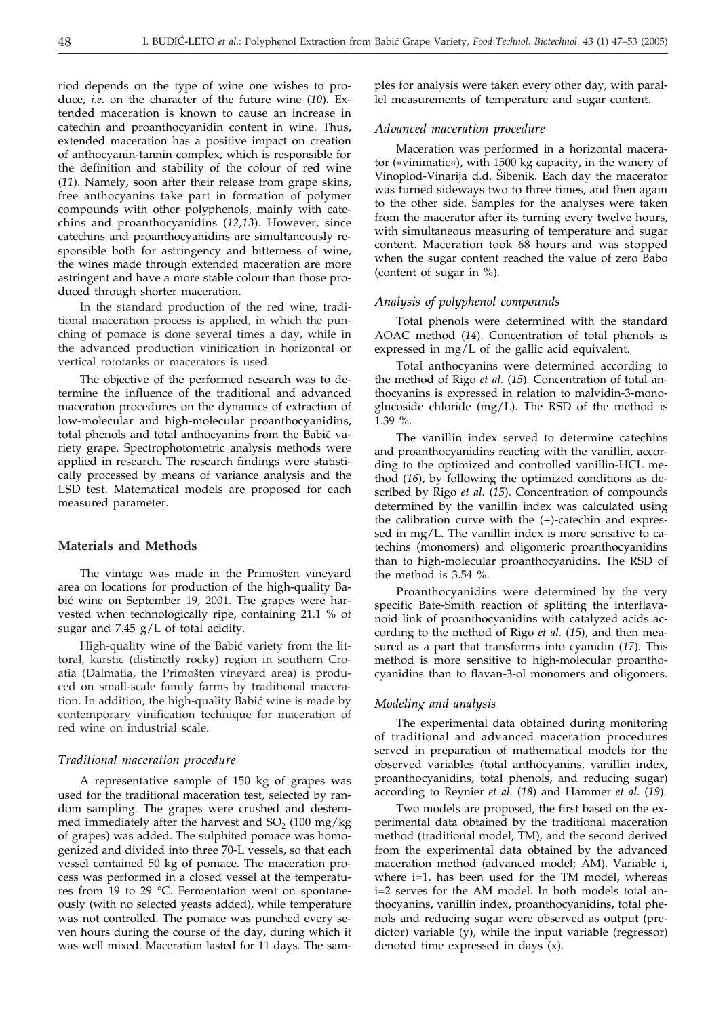riod depends on the type of wine one wishes to produce, *i.e*. on the character of the future wine (*10*). Extended maceration is known to cause an increase in catechin and proanthocyanidin content in wine. Thus, extended maceration has a positive impact on creation of anthocyanin-tannin complex, which is responsible for the definition and stability of the colour of red wine (*11*). Namely, soon after their release from grape skins, free anthocyanins take part in formation of polymer compounds with other polyphenols, mainly with catechins and proanthocyanidins (*12,13*). However, since catechins and proanthocyanidins are simultaneously responsible both for astringency and bitterness of wine, the wines made through extended maceration are more astringent and have a more stable colour than those produced through shorter maceration.

In the standard production of the red wine, traditional maceration process is applied, in which the punching of pomace is done several times a day, while in the advanced production vinification in horizontal or vertical rototanks or macerators is used.

The objective of the performed research was to determine the influence of the traditional and advanced maceration procedures on the dynamics of extraction of low-molecular and high-molecular proanthocyanidins, total phenols and total anthocyanins from the Babić variety grape. Spectrophotometric analysis methods were applied in research. The research findings were statistically processed by means of variance analysis and the LSD test. Matematical models are proposed for each measured parameter.

## **Materials and Methods**

The vintage was made in the Primošten vineyard area on locations for production of the high-quality Babić wine on September 19, 2001. The grapes were harvested when technologically ripe, containing 21.1 % of sugar and  $7.45$  g/L of total acidity.

High-quality wine of the Babić variety from the littoral, karstic (distinctly rocky) region in southern Croatia (Dalmatia, the Primošten vineyard area) is produced on small-scale family farms by traditional maceration. In addition, the high-quality Babić wine is made by contemporary vinification technique for maceration of red wine on industrial scale.

#### *Traditional maceration procedure*

A representative sample of 150 kg of grapes was used for the traditional maceration test, selected by random sampling. The grapes were crushed and destemmed immediately after the harvest and  $SO<sub>2</sub>$  (100 mg/kg) of grapes) was added. The sulphited pomace was homogenized and divided into three 70-L vessels, so that each vessel contained 50 kg of pomace. The maceration process was performed in a closed vessel at the temperatures from 19 to 29 °C. Fermentation went on spontaneously (with no selected yeasts added), while temperature was not controlled. The pomace was punched every seven hours during the course of the day, during which it was well mixed. Maceration lasted for 11 days. The sam-

ples for analysis were taken every other day, with parallel measurements of temperature and sugar content.

# *Advanced maceration procedure*

Maceration was performed in a horizontal macerator (»vinimatic«), with 1500 kg capacity, in the winery of Vinoplod-Vinarija d.d. Šibenik. Each day the macerator was turned sideways two to three times, and then again to the other side. Samples for the analyses were taken from the macerator after its turning every twelve hours, with simultaneous measuring of temperature and sugar content. Maceration took 68 hours and was stopped when the sugar content reached the value of zero Babo (content of sugar in %).

# *Analysis of polyphenol compounds*

Total phenols were determined with the standard AOAC method (*14*). Concentration of total phenols is expressed in mg/L of the gallic acid equivalent.

Total anthocyanins were determined according to the method of Rigo *et al.* (*15*)*.* Concentration of total anthocyanins is expressed in relation to malvidin-3-monoglucoside chloride (mg/L). The RSD of the method is 1.39 %.

The vanillin index served to determine catechins and proanthocyanidins reacting with the vanillin, according to the optimized and controlled vanillin-HCL method (*16*), by following the optimized conditions as described by Rigo *et al.* (*15*). Concentration of compounds determined by the vanillin index was calculated using the calibration curve with the (+)-catechin and expressed in mg/L. The vanillin index is more sensitive to catechins (monomers) and oligomeric proanthocyanidins than to high-molecular proanthocyanidins. The RSD of the method is 3.54 %.

Proanthocyanidins were determined by the very specific Bate-Smith reaction of splitting the interflavanoid link of proanthocyanidins with catalyzed acids according to the method of Rigo *et al.* (*15*), and then measured as a part that transforms into cyanidin (*17*)*.* This method is more sensitive to high-molecular proanthocyanidins than to flavan-3-ol monomers and oligomers.

#### *Modeling and analysis*

The experimental data obtained during monitoring of traditional and advanced maceration procedures served in preparation of mathematical models for the observed variables (total anthocyanins*,* vanillin index, proanthocyanidins, total phenols, and reducing sugar) according to Reynier *et al.* (*18*) and Hammer *et al.* (*19*).

Two models are proposed, the first based on the experimental data obtained by the traditional maceration method (traditional model; TM), and the second derived from the experimental data obtained by the advanced maceration method (advanced model; AM). Variable i, where i=1, has been used for the TM model, whereas i=2 serves for the AM model. In both models total anthocyanins, vanillin index, proanthocyanidins, total phenols and reducing sugar were observed as output (predictor) variable (y), while the input variable (regressor) denoted time expressed in days (x).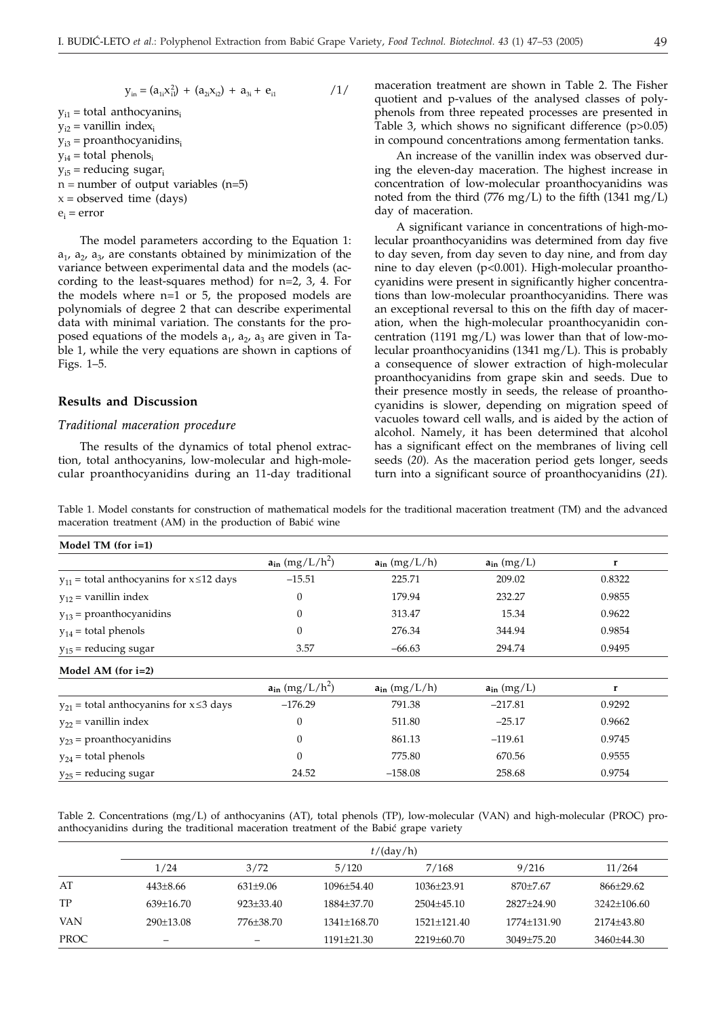$$
y_{in} = (a_{1i}x_{i1}^2) + (a_{2i}x_{i2}) + a_{3i} + e_{i1}
$$
 / 1/

 $y_{i1}$  = total anthocyanins<sub>i</sub>  $y_{i2}$  = vanillin index<sub>i</sub>  $y_{i3}$  = proanthocyanidins<sub>i</sub>  $v_{i4}$  = total phenols<sub>i</sub>  $y_{i5}$  = reducing sugar<sub>i</sub>  $n =$  number of output variables (n=5)  $x = observed time (days)$  $e_i = error$ 

The model parameters according to the Equation 1:  $a_1$ ,  $a_2$ ,  $a_3$ , are constants obtained by minimization of the variance between experimental data and the models (according to the least-squares method) for n=2, 3, 4. For the models where n=1 or 5, the proposed models are polynomials of degree 2 that can describe experimental data with minimal variation. The constants for the proposed equations of the models  $a_1$ ,  $a_2$ ,  $a_3$  are given in Table 1, while the very equations are shown in captions of Figs. 1–5.

# **Results and Discussion**

#### *Traditional maceration procedure*

The results of the dynamics of total phenol extraction, total anthocyanins, low-molecular and high-molecular proanthocyanidins during an 11-day traditional maceration treatment are shown in Table 2. The Fisher quotient and p-values of the analysed classes of polyphenols from three repeated processes are presented in Table 3, which shows no significant difference (p>0.05) in compound concentrations among fermentation tanks.

An increase of the vanillin index was observed during the eleven-day maceration. The highest increase in concentration of low-molecular proanthocyanidins was noted from the third (776 mg/L) to the fifth (1341 mg/L) day of maceration.

A significant variance in concentrations of high-molecular proanthocyanidins was determined from day five to day seven, from day seven to day nine, and from day nine to day eleven (p<0.001). High-molecular proanthocyanidins were present in significantly higher concentrations than low-molecular proanthocyanidins. There was an exceptional reversal to this on the fifth day of maceration, when the high-molecular proanthocyanidin concentration (1191 mg/L) was lower than that of low-molecular proanthocyanidins (1341 mg/L). This is probably a consequence of slower extraction of high-molecular proanthocyanidins from grape skin and seeds. Due to their presence mostly in seeds, the release of proanthocyanidins is slower, depending on migration speed of vacuoles toward cell walls, and is aided by the action of alcohol. Namely, it has been determined that alcohol has a significant effect on the membranes of living cell seeds (*20*)*.* As the maceration period gets longer, seeds turn into a significant source of proanthocyanidins (*21*)*.*

Table 1. Model constants for construction of mathematical models for the traditional maceration treatment (TM) and the advanced maceration treatment (AM) in the production of Babić wine

| Model TM (for $i=1$ )                             |                         |                   |                 |        |
|---------------------------------------------------|-------------------------|-------------------|-----------------|--------|
|                                                   | $a_{in}$ (mg/L/ $h^2$ ) | $a_{in}$ (mg/L/h) | $a_{in}$ (mg/L) | r      |
| $v_{11}$ = total anthocyanins for $x \le 12$ days | $-15.51$                | 225.71            | 209.02          | 0.8322 |
| $y_{12}$ = vanillin index                         | $\boldsymbol{0}$        | 179.94            | 232.27          |        |
| $y_{13}$ = proanthocyanidins                      | 0                       | 313.47            | 15.34           | 0.9622 |
| $y_{14}$ = total phenols                          | $\theta$                | 276.34            | 344.94          | 0.9854 |
| $y_{15}$ = reducing sugar                         | 3.57                    | $-66.63$          | 294.74          | 0.9495 |
| Model AM (for $i=2$ )                             |                         |                   |                 |        |
|                                                   | $a_{in}$ (mg/L/ $h^2$ ) | $a_{in}$ (mg/L/h) | $a_{in}$ (mg/L) | r      |
| $y_{21}$ = total anthocyanins for $x \le 3$ days  | $-176.29$               | 791.38            | $-217.81$       | 0.9292 |
| $v_{22}$ = vanillin index                         | $\theta$                | 511.80            | $-25.17$        | 0.9662 |
| $y_{23}$ = proanthocyanidins                      | $\theta$                | 861.13            | $-119.61$       | 0.9745 |
| $y_{24}$ = total phenols                          | $\theta$                | 775.80            | 670.56          | 0.9555 |
| $y_{25}$ = reducing sugar                         | 24.52                   | $-158.08$         | 258.68          | 0.9754 |

Table 2. Concentrations (mg/L) of anthocyanins (AT), total phenols (TP), low-molecular (VAN) and high-molecular (PROC) proanthocyanidins during the traditional maceration treatment of the Babić grape variety

|            | $t/$ (day/h)    |               |                |               |                |               |
|------------|-----------------|---------------|----------------|---------------|----------------|---------------|
|            | 1/24            | 3/72          | 5/120          | 7/168         | 9/216          | 11/264        |
| AT         | $443 + 8.66$    | $631+9.06$    | $1096 + 54.40$ | $1036+23.91$  | $870+7.67$     | 866+29.62     |
| TP         | $639+16.70$     | $923 + 33.40$ | 1884+37.70     | $2504+45.10$  | 2827+24.90     | $3242+106.60$ |
| <b>VAN</b> | $290 \pm 13.08$ | 776+38.70     | $1341+168.70$  | $1521+121.40$ | 1774+131.90    | 2174+43.80    |
| PROC       | -               | -             | $1191\pm21.30$ | 2219±60.70    | $3049 + 75.20$ | $3460+44.30$  |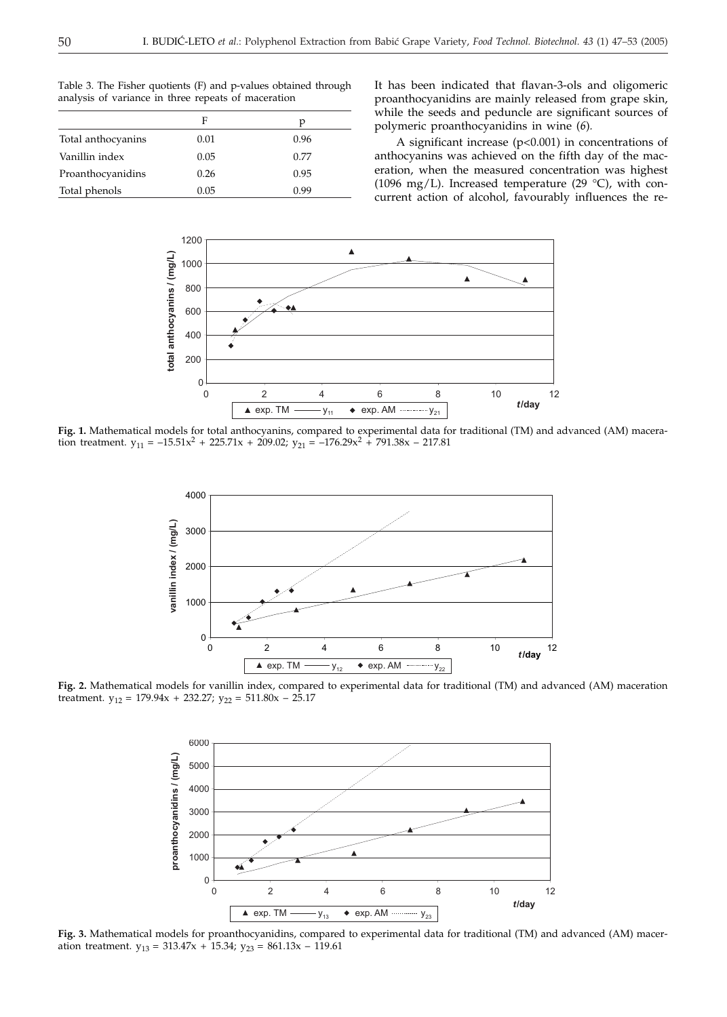|                    | F    | р    |
|--------------------|------|------|
| Total anthocyanins | 0.01 | 0.96 |
| Vanillin index     | 0.05 | 0.77 |
| Proanthocyanidins  | 0.26 | 0.95 |
| Total phenols      | 0.05 | በ 99 |

Table 3. The Fisher quotients (F) and p-values obtained through analysis of variance in three repeats of maceration

It has been indicated that flavan-3-ols and oligomeric proanthocyanidins are mainly released from grape skin, while the seeds and peduncle are significant sources of polymeric proanthocyanidins in wine (*6*)*.*

A significant increase (p<0.001) in concentrations of anthocyanins was achieved on the fifth day of the maceration, when the measured concentration was highest (1096 mg/L). Increased temperature (29 °C), with concurrent action of alcohol, favourably influences the re-



**Fig. 1.** Mathematical models for total anthocyanins, compared to experimental data for traditional (TM) and advanced (AM) maceration treatment.  $y_{11} = -15.51x^2 + 225.71x + 209.02$ ;  $y_{21} = -176.29x^2 + 791.38x - 217.81$ 



**Fig. 2.** Mathematical models for vanillin index, compared to experimental data for traditional (TM) and advanced (AM) maceration treatment.  $y_{12} = 179.94x + 232.27$ ;  $y_{22} = 511.80x - 25.17$ 



**Fig. 3.** Mathematical models for proanthocyanidins, compared to experimental data for traditional (TM) and advanced (AM) maceration treatment.  $y_{13} = 313.47x + 15.34$ ;  $y_{23} = 861.13x - 119.61$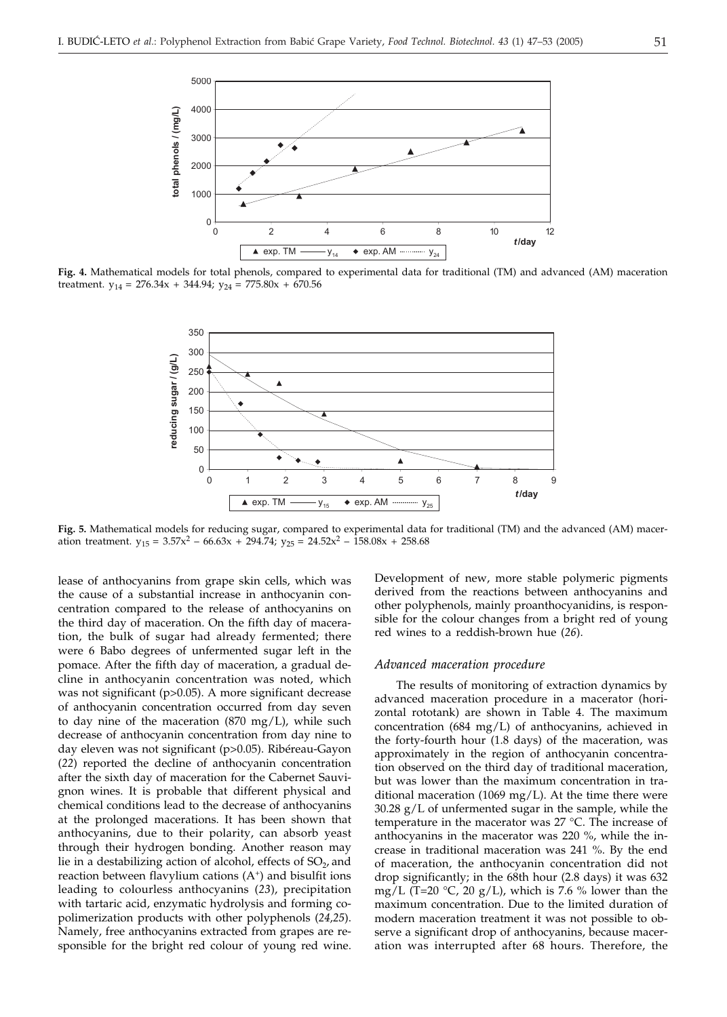

**Fig. 4.** Mathematical models for total phenols, compared to experimental data for traditional (TM) and advanced (AM) maceration treatment.  $y_{14} = 276.34x + 344.94$ ;  $y_{24} = 775.80x + 670.56$ 



**Fig. 5.** Mathematical models for reducing sugar, compared to experimental data for traditional (TM) and the advanced (AM) maceration treatment.  $y_{15} = 3.57x^2 - 66.63x + 294.74$ ;  $y_{25} = 24.52x^2 - 158.08x + 258.68$ 

lease of anthocyanins from grape skin cells, which was the cause of a substantial increase in anthocyanin concentration compared to the release of anthocyanins on the third day of maceration. On the fifth day of maceration, the bulk of sugar had already fermented; there were 6 Babo degrees of unfermented sugar left in the pomace. After the fifth day of maceration, a gradual decline in anthocyanin concentration was noted, which was not significant (p>0.05). A more significant decrease of anthocyanin concentration occurred from day seven to day nine of the maceration  $(870 \text{ mg/L})$ , while such decrease of anthocyanin concentration from day nine to day eleven was not significant (p>0.05). Ribéreau-Gayon (*22*) reported the decline of anthocyanin concentration after the sixth day of maceration for the Cabernet Sauvignon wines. It is probable that different physical and chemical conditions lead to the decrease of anthocyanins at the prolonged macerations. It has been shown that anthocyanins, due to their polarity, can absorb yeast through their hydrogen bonding. Another reason may lie in a destabilizing action of alcohol, effects of  $SO_2$ , and reaction between flavylium cations  $(A<sup>+</sup>)$  and bisulfit ions leading to colourless anthocyanins (*23*), precipitation with tartaric acid, enzymatic hydrolysis and forming copolimerization products with other polyphenols (*24,25*). Namely, free anthocyanins extracted from grapes are responsible for the bright red colour of young red wine. Development of new, more stable polymeric pigments derived from the reactions between anthocyanins and other polyphenols, mainly proanthocyanidins, is responsible for the colour changes from a bright red of young red wines to a reddish-brown hue (*26*).

#### *Advanced maceration procedure*

The results of monitoring of extraction dynamics by advanced maceration procedure in a macerator (horizontal rototank) are shown in Table 4. The maximum concentration (684 mg/L) of anthocyanins, achieved in the forty-fourth hour (1.8 days) of the maceration, was approximately in the region of anthocyanin concentration observed on the third day of traditional maceration, but was lower than the maximum concentration in traditional maceration (1069 mg/L). At the time there were 30.28 g/L of unfermented sugar in the sample, while the temperature in the macerator was 27 °C. The increase of anthocyanins in the macerator was 220 %, while the increase in traditional maceration was 241 %. By the end of maceration, the anthocyanin concentration did not drop significantly; in the 68th hour (2.8 days) it was 632 mg/L (T=20  $\degree$ C, 20 g/L), which is 7.6 % lower than the maximum concentration. Due to the limited duration of modern maceration treatment it was not possible to observe a significant drop of anthocyanins, because maceration was interrupted after 68 hours. Therefore, the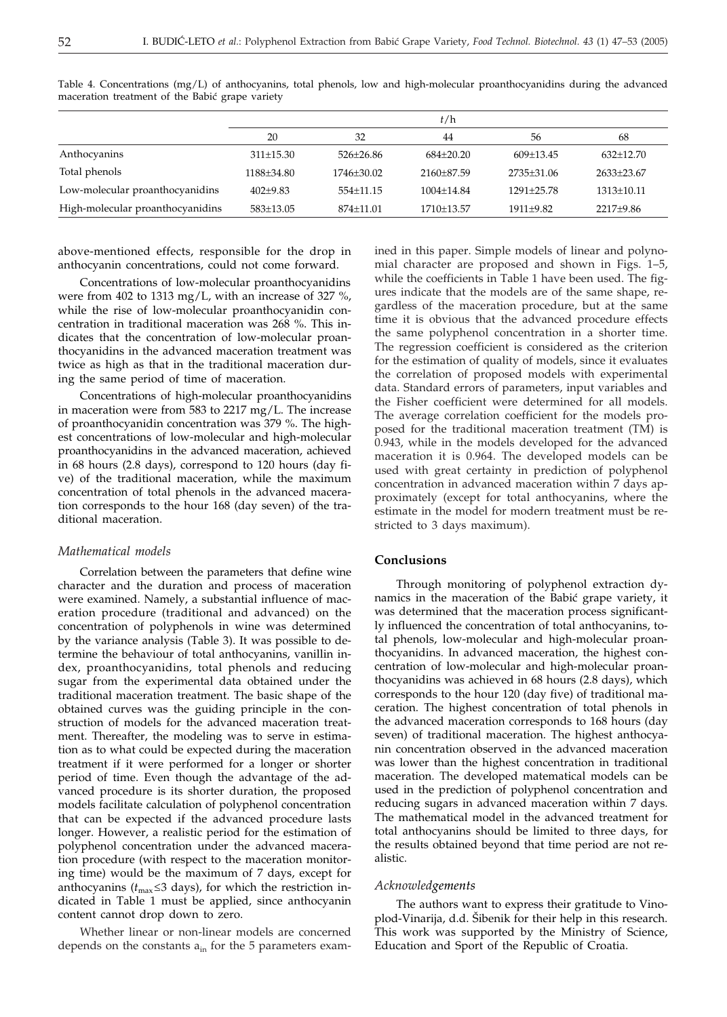|                                  | t/h             |             |                |                |              |  |
|----------------------------------|-----------------|-------------|----------------|----------------|--------------|--|
|                                  | 20              | 32          | 44             | 56             | 68           |  |
| Anthocyanins                     | $311 \pm 15.30$ | $526+26.86$ | $684+20.20$    | $609+13.45$    | $632+12.70$  |  |
| Total phenols                    | 1188±34.80      | 1746±30.02  | 2160+87.59     | 2735±31.06     | 2633±23.67   |  |
| Low-molecular proanthocyanidins  | $402+9.83$      | $554+11.15$ | $1004 + 14.84$ | $1291 + 25.78$ | $1313+10.11$ |  |
| High-molecular proanthocyanidins | 583±13.05       | 874±11.01   | 1710±13.57     | 1911±9.82      | 2217±9.86    |  |
|                                  |                 |             |                |                |              |  |

Table 4. Concentrations (mg/L) of anthocyanins, total phenols, low and high-molecular proanthocyanidins during the advanced maceration treatment of the Babić grape variety

above-mentioned effects, responsible for the drop in anthocyanin concentrations, could not come forward.

Concentrations of low-molecular proanthocyanidins were from 402 to 1313 mg/L, with an increase of 327 %, while the rise of low-molecular proanthocyanidin concentration in traditional maceration was 268 %. This indicates that the concentration of low-molecular proanthocyanidins in the advanced maceration treatment was twice as high as that in the traditional maceration during the same period of time of maceration.

Concentrations of high-molecular proanthocyanidins in maceration were from 583 to 2217 mg/L. The increase of proanthocyanidin concentration was 379 %. The highest concentrations of low-molecular and high-molecular proanthocyanidins in the advanced maceration, achieved in 68 hours (2.8 days), correspond to 120 hours (day five) of the traditional maceration, while the maximum concentration of total phenols in the advanced maceration corresponds to the hour 168 (day seven) of the traditional maceration.

#### *Mathematical models*

Correlation between the parameters that define wine character and the duration and process of maceration were examined. Namely, a substantial influence of maceration procedure (traditional and advanced) on the concentration of polyphenols in wine was determined by the variance analysis (Table 3). It was possible to determine the behaviour of total anthocyanins, vanillin index, proanthocyanidins, total phenols and reducing sugar from the experimental data obtained under the traditional maceration treatment. The basic shape of the obtained curves was the guiding principle in the construction of models for the advanced maceration treatment. Thereafter, the modeling was to serve in estimation as to what could be expected during the maceration treatment if it were performed for a longer or shorter period of time. Even though the advantage of the advanced procedure is its shorter duration, the proposed models facilitate calculation of polyphenol concentration that can be expected if the advanced procedure lasts longer. However, a realistic period for the estimation of polyphenol concentration under the advanced maceration procedure (with respect to the maceration monitoring time) would be the maximum of 7 days, except for anthocyanins ( $t_{\text{max}}$   $\leq$  3 days), for which the restriction indicated in Table 1 must be applied, since anthocyanin content cannot drop down to zero.

Whether linear or non-linear models are concerned depends on the constants  $a_{in}$  for the 5 parameters examined in this paper. Simple models of linear and polynomial character are proposed and shown in Figs. 1–5, while the coefficients in Table 1 have been used. The figures indicate that the models are of the same shape, regardless of the maceration procedure, but at the same time it is obvious that the advanced procedure effects the same polyphenol concentration in a shorter time. The regression coefficient is considered as the criterion for the estimation of quality of models, since it evaluates the correlation of proposed models with experimental data. Standard errors of parameters, input variables and the Fisher coefficient were determined for all models. The average correlation coefficient for the models proposed for the traditional maceration treatment (TM) is 0.943, while in the models developed for the advanced maceration it is 0.964. The developed models can be used with great certainty in prediction of polyphenol concentration in advanced maceration within 7 days approximately (except for total anthocyanins, where the estimate in the model for modern treatment must be restricted to 3 days maximum).

# **Conclusions**

Through monitoring of polyphenol extraction dynamics in the maceration of the Babić grape variety, it was determined that the maceration process significantly influenced the concentration of total anthocyanins, total phenols, low-molecular and high-molecular proanthocyanidins. In advanced maceration, the highest concentration of low-molecular and high-molecular proanthocyanidins was achieved in 68 hours (2.8 days), which corresponds to the hour 120 (day five) of traditional maceration. The highest concentration of total phenols in the advanced maceration corresponds to 168 hours (day seven) of traditional maceration. The highest anthocyanin concentration observed in the advanced maceration was lower than the highest concentration in traditional maceration. The developed matematical models can be used in the prediction of polyphenol concentration and reducing sugars in advanced maceration within 7 days. The mathematical model in the advanced treatment for total anthocyanins should be limited to three days, for the results obtained beyond that time period are not realistic.

#### *Acknowledgements*

The authors want to express their gratitude to Vinoplod-Vinarija, d.d. Šibenik for their help in this research. This work was supported by the Ministry of Science, Education and Sport of the Republic of Croatia.